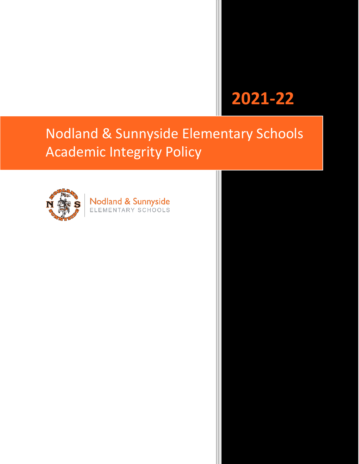# **2021-22**

## Nodland & Sunnyside Elementary Schools Academic Integrity Policy



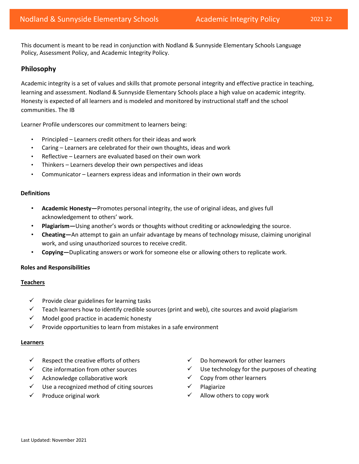This document is meant to be read in conjunction with Nodland & Sunnyside Elementary Schools Language Policy, Assessment Policy, and Academic Integrity Policy.

### **Philosophy**

Academic integrity is a set of values and skills that promote personal integrity and effective practice in teaching, learning and assessment. Nodland & Sunnyside Elementary Schools place a high value on academic integrity. Honesty is expected of all learners and is modeled and monitored by instructional staff and the school communities. The IB

Learner Profile underscores our commitment to learners being:

- Principled Learners credit others for their ideas and work
- Caring Learners are celebrated for their own thoughts, ideas and work
- Reflective Learners are evaluated based on their own work
- Thinkers Learners develop their own perspectives and ideas
- Communicator Learners express ideas and information in their own words

#### **Definitions**

- **Academic Honesty—**Promotes personal integrity, the use of original ideas, and gives full acknowledgement to others' work.
- **Plagiarism—**Using another's words or thoughts without crediting or acknowledging the source.
- **Cheating—**An attempt to gain an unfair advantage by means of technology misuse, claiming unoriginal work, and using unauthorized sources to receive credit.
- **Copying—**Duplicating answers or work for someone else or allowing others to replicate work.

#### **Roles and Responsibilities**

#### **Teachers**

- $\checkmark$  Provide clear guidelines for learning tasks
- $\checkmark$  Teach learners how to identify credible sources (print and web), cite sources and avoid plagiarism
- ✓ Model good practice in academic honesty
- $\checkmark$  Provide opportunities to learn from mistakes in a safe environment

#### **Learners**

- Respect the creative efforts of others  $\checkmark$  Do homework for other learners
- 
- ✓ Acknowledge collaborative work ✓ Copy from other learners
- ✓ Use a recognized method of citing sources ✓ Plagiarize
- 
- 
- ✓ Cite information from other sources ✓ Use technology for the purposes of cheating
	-
	-
- ✓ Produce original work ✓ Allow others to copy work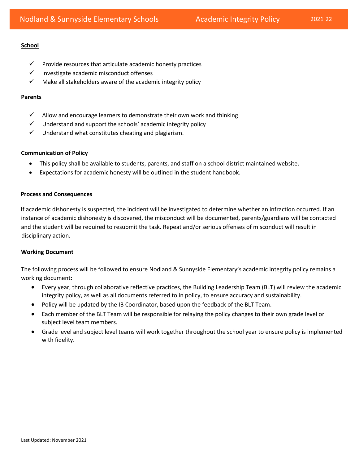#### **School**

- $\checkmark$  Provide resources that articulate academic honesty practices
- ✓ Investigate academic misconduct offenses
- $\checkmark$  Make all stakeholders aware of the academic integrity policy

#### **Parents**

- $\checkmark$  Allow and encourage learners to demonstrate their own work and thinking
- $\checkmark$  Understand and support the schools' academic integrity policy
- $\checkmark$  Understand what constitutes cheating and plagiarism.

#### **Communication of Policy**

- This policy shall be available to students, parents, and staff on a school district maintained website.
- Expectations for academic honesty will be outlined in the student handbook.

#### **Process and Consequences**

If academic dishonesty is suspected, the incident will be investigated to determine whether an infraction occurred. If an instance of academic dishonesty is discovered, the misconduct will be documented, parents/guardians will be contacted and the student will be required to resubmit the task. Repeat and/or serious offenses of misconduct will result in disciplinary action.

#### **Working Document**

The following process will be followed to ensure Nodland & Sunnyside Elementary's academic integrity policy remains a working document:

- Every year, through collaborative reflective practices, the Building Leadership Team (BLT) will review the academic integrity policy, as well as all documents referred to in policy, to ensure accuracy and sustainability.
- Policy will be updated by the IB Coordinator, based upon the feedback of the BLT Team.
- Each member of the BLT Team will be responsible for relaying the policy changes to their own grade level or subject level team members.
- Grade level and subject level teams will work together throughout the school year to ensure policy is implemented with fidelity.